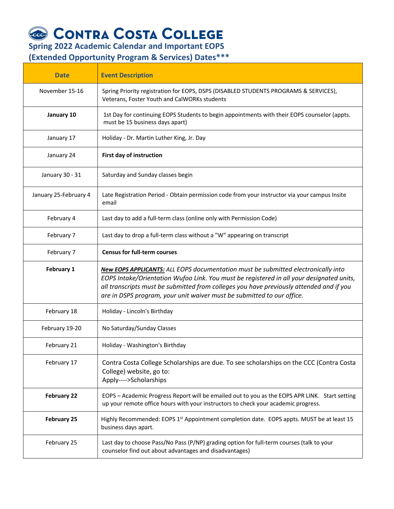## **CONTRA COSTA COLLEGE**<br>Spring 2022 Academic Calendar and Important EOPS

**(Extended Opportunity Program & Services) Dates\*\*\***

| <b>Date</b>           | <b>Event Description</b>                                                                                                                                                                                                                                                                                                                                  |
|-----------------------|-----------------------------------------------------------------------------------------------------------------------------------------------------------------------------------------------------------------------------------------------------------------------------------------------------------------------------------------------------------|
| November 15-16        | Spring Priority registration for EOPS, DSPS (DISABLED STUDENTS PROGRAMS & SERVICES),<br>Veterans, Foster Youth and CalWORKs students                                                                                                                                                                                                                      |
| January 10            | 1st Day for continuing EOPS Students to begin appointments with their EOPS counselor (appts.<br>must be 15 business days apart)                                                                                                                                                                                                                           |
| January 17            | Holiday - Dr. Martin Luther King, Jr. Day                                                                                                                                                                                                                                                                                                                 |
| January 24            | First day of instruction                                                                                                                                                                                                                                                                                                                                  |
| January 30 - 31       | Saturday and Sunday classes begin                                                                                                                                                                                                                                                                                                                         |
| January 25-February 4 | Late Registration Period - Obtain permission code from your instructor via your campus Insite<br>email                                                                                                                                                                                                                                                    |
| February 4            | Last day to add a full-term class (online only with Permission Code)                                                                                                                                                                                                                                                                                      |
| February 7            | Last day to drop a full-term class without a "W" appearing on transcript                                                                                                                                                                                                                                                                                  |
| February 7            | <b>Census for full-term courses</b>                                                                                                                                                                                                                                                                                                                       |
| February 1            | <b>New EOPS APPLICANTS:</b> ALL EOPS documentation must be submitted electronically into<br>EOPS Intake/Orientation Wufoo Link. You must be registered in all your designated units,<br>all transcripts must be submitted from colleges you have previously attended and if you<br>are in DSPS program, your unit waiver must be submitted to our office. |
| February 18           | Holiday - Lincoln's Birthday                                                                                                                                                                                                                                                                                                                              |
| February 19-20        | No Saturday/Sunday Classes                                                                                                                                                                                                                                                                                                                                |
| February 21           | Holiday - Washington's Birthday                                                                                                                                                                                                                                                                                                                           |
| February 17           | Contra Costa College Scholarships are due. To see scholarships on the CCC (Contra Costa<br>College) website, go to:<br>Apply---->Scholarships                                                                                                                                                                                                             |
| <b>February 22</b>    | EOPS - Academic Progress Report will be emailed out to you as the EOPS APR LINK. Start setting<br>up your remote office hours with your instructors to check your academic progress.                                                                                                                                                                      |
| <b>February 25</b>    | Highly Recommended: EOPS 1 <sup>st</sup> Appointment completion date. EOPS appts. MUST be at least 15<br>business days apart.                                                                                                                                                                                                                             |
| February 25           | Last day to choose Pass/No Pass (P/NP) grading option for full-term courses (talk to your<br>counselor find out about advantages and disadvantages)                                                                                                                                                                                                       |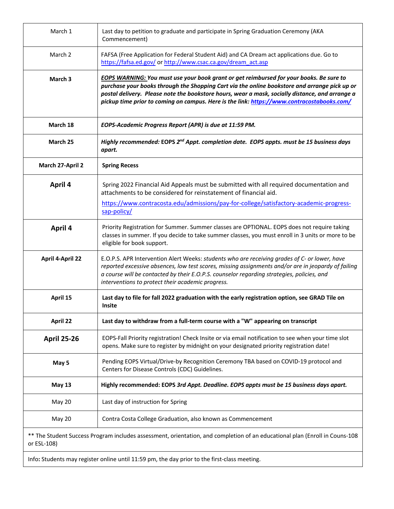| March 1                 | Last day to petition to graduate and participate in Spring Graduation Ceremony (AKA<br>Commencement)                                                                                                                                                                                                                                                                                             |
|-------------------------|--------------------------------------------------------------------------------------------------------------------------------------------------------------------------------------------------------------------------------------------------------------------------------------------------------------------------------------------------------------------------------------------------|
| March 2                 | FAFSA (Free Application for Federal Student Aid) and CA Dream act applications due. Go to<br>https://fafsa.ed.gov/ or http://www.csac.ca.gov/dream_act.asp                                                                                                                                                                                                                                       |
| March 3                 | <b>EOPS WARNING:</b> You must use your book grant or get reimbursed for your books. Be sure to<br>purchase your books through the Shopping Cart via the online bookstore and arrange pick up or<br>postal delivery. Please note the bookstore hours, wear a mask, socially distance, and arrange a<br>pickup time prior to coming on campus. Here is the link: https://www.contracostabooks.com/ |
| March 18                | EOPS-Academic Progress Report (APR) is due at 11:59 PM.                                                                                                                                                                                                                                                                                                                                          |
| March 25                | Highly recommended: EOPS 2 <sup>nd</sup> Appt. completion date. EOPS appts. must be 15 business days<br>apart.                                                                                                                                                                                                                                                                                   |
| March 27-April 2        | <b>Spring Recess</b>                                                                                                                                                                                                                                                                                                                                                                             |
| April 4                 | Spring 2022 Financial Aid Appeals must be submitted with all required documentation and<br>attachments to be considered for reinstatement of financial aid.                                                                                                                                                                                                                                      |
|                         | https://www.contracosta.edu/admissions/pay-for-college/satisfactory-academic-progress-<br>sap-policy/                                                                                                                                                                                                                                                                                            |
| April 4                 | Priority Registration for Summer. Summer classes are OPTIONAL. EOPS does not require taking<br>classes in summer. If you decide to take summer classes, you must enroll in 3 units or more to be<br>eligible for book support.                                                                                                                                                                   |
| <b>April 4-April 22</b> | E.O.P.S. APR Intervention Alert Weeks: students who are receiving grades of C- or lower, have<br>reported excessive absences, low test scores, missing assignments and/or are in jeopardy of failing<br>a course will be contacted by their E.O.P.S. counselor regarding strategies, policies, and<br>interventions to protect their academic progress.                                          |
| April 15                | Last day to file for fall 2022 graduation with the early registration option, see GRAD Tile on<br><b>Insite</b>                                                                                                                                                                                                                                                                                  |
| April 22                | Last day to withdraw from a full-term course with a "W" appearing on transcript                                                                                                                                                                                                                                                                                                                  |
| <b>April 25-26</b>      | EOPS-Fall Priority registration! Check Insite or via email notification to see when your time slot<br>opens. Make sure to register by midnight on your designated priority registration date!                                                                                                                                                                                                    |
| May 5                   | Pending EOPS Virtual/Drive-by Recognition Ceremony TBA based on COVID-19 protocol and<br>Centers for Disease Controls (CDC) Guidelines.                                                                                                                                                                                                                                                          |
| <b>May 13</b>           | Highly recommended: EOPS 3rd Appt. Deadline. EOPS appts must be 15 business days apart.                                                                                                                                                                                                                                                                                                          |
| May 20                  | Last day of instruction for Spring                                                                                                                                                                                                                                                                                                                                                               |
| May 20                  | Contra Costa College Graduation, also known as Commencement                                                                                                                                                                                                                                                                                                                                      |
| or ESL-108)             | ** The Student Success Program includes assessment, orientation, and completion of an educational plan (Enroll in Couns-108                                                                                                                                                                                                                                                                      |

Info**:** Students may register online until 11:59 pm, the day prior to the first-class meeting.